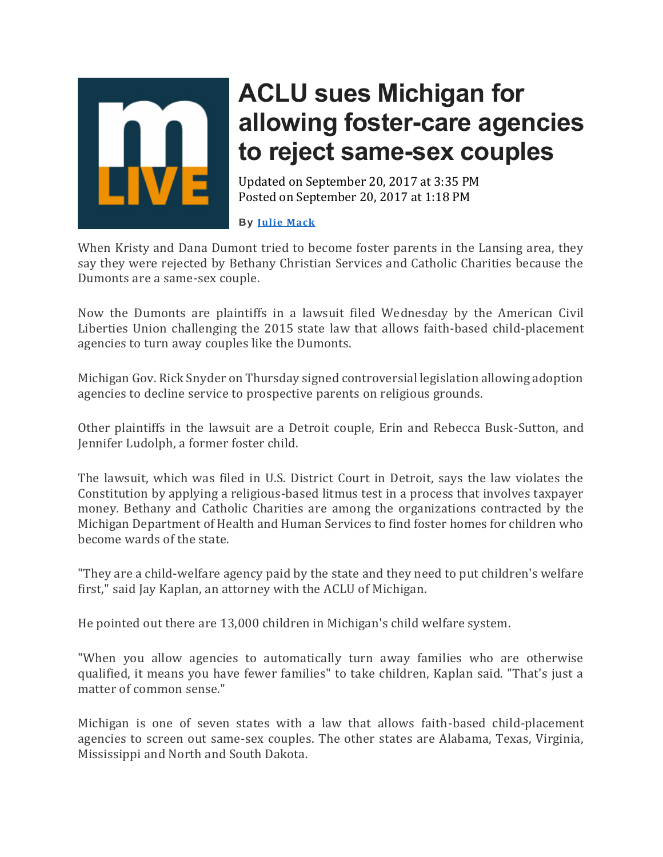

## **ACLU sues Michigan for allowing foster-care agencies to reject same-sex couples**

Updated on September 20, 2017 at 3:35 PM Posted on September 20, 2017 at 1:18 PM

## **By Julie [Mack](http://connect.mlive.com/staff/jmack/posts.html)**

When Kristy and Dana Dumont tried to become foster parents in the Lansing area, they say they were rejected by Bethany Christian Services and Catholic Charities because the Dumonts are a same-sex couple.

Now the Dumonts are plaintiffs in a lawsuit filed Wednesday by the American Civil Liberties Union challenging the 2015 state law that allows faith-based child-placement agencies to turn away couples like the Dumonts.

Michigan Gov. Rick Snyder on Thursday signed controversial legislation allowing adoption agencies to decline service to prospective parents on religious grounds.

Other plaintiffs in the lawsuit are a Detroit couple, Erin and Rebecca Busk-Sutton, and Jennifer Ludolph, a former foster child.

The lawsuit, which was filed in U.S. District Court in Detroit, says the law violates the Constitution by applying a religious-based litmus test in a process that involves taxpayer money. Bethany and Catholic Charities are among the organizations contracted by the Michigan Department of Health and Human Services to find foster homes for children who become wards of the state.

"They are a child-welfare agency paid by the state and they need to put children's welfare first," said Jay Kaplan, an attorney with the ACLU of Michigan.

He pointed out there are 13,000 children in Michigan's child welfare system.

"When you allow agencies to automatically turn away families who are otherwise qualified, it means you have fewer families" to take children, Kaplan said. "That's just a matter of common sense."

Michigan is one of seven states with a law that allows faith-based child-placement agencies to screen out same-sex couples. The other states are Alabama, Texas, Virginia, Mississippi and North and South Dakota.